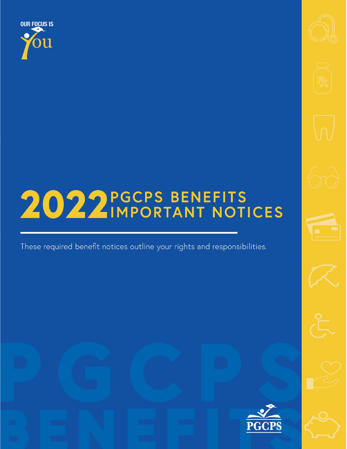

# 2022 PGCPS BENEFITS

### These required benefit notices outline your rights and responsibilities.

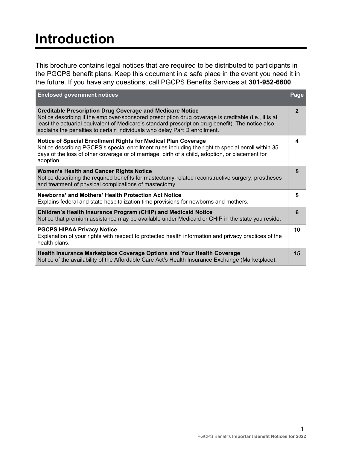### **Introduction**

This brochure contains legal notices that are required to be distributed to participants in the PGCPS benefit plans. Keep this document in a safe place in the event you need it in the future. If you have any questions, call PGCPS Benefits Services at **301-952-6600**.

| <b>Enclosed government notices</b>                                                                                                                                                                                                                                                                                                                          | Page           |
|-------------------------------------------------------------------------------------------------------------------------------------------------------------------------------------------------------------------------------------------------------------------------------------------------------------------------------------------------------------|----------------|
| <b>Creditable Prescription Drug Coverage and Medicare Notice</b><br>Notice describing if the employer-sponsored prescription drug coverage is creditable (i.e., it is at<br>least the actuarial equivalent of Medicare's standard prescription drug benefit). The notice also<br>explains the penalties to certain individuals who delay Part D enrollment. | $\overline{2}$ |
| <b>Notice of Special Enrollment Rights for Medical Plan Coverage</b><br>Notice describing PGCPS's special enrollment rules including the right to special enroll within 35<br>days of the loss of other coverage or of marriage, birth of a child, adoption, or placement for<br>adoption.                                                                  | 4              |
| <b>Women's Health and Cancer Rights Notice</b><br>Notice describing the required benefits for mastectomy-related reconstructive surgery, prostheses<br>and treatment of physical complications of mastectomy.                                                                                                                                               | 5              |
| Newborns' and Mothers' Health Protection Act Notice<br>Explains federal and state hospitalization time provisions for newborns and mothers.                                                                                                                                                                                                                 | 5              |
| Children's Health Insurance Program (CHIP) and Medicaid Notice<br>Notice that premium assistance may be available under Medicaid or CHIP in the state you reside.                                                                                                                                                                                           | 6              |
| <b>PGCPS HIPAA Privacy Notice</b><br>Explanation of your rights with respect to protected health information and privacy practices of the<br>health plans.                                                                                                                                                                                                  | 10             |
| Health Insurance Marketplace Coverage Options and Your Health Coverage<br>Notice of the availability of the Affordable Care Act's Health Insurance Exchange (Marketplace).                                                                                                                                                                                  | 15             |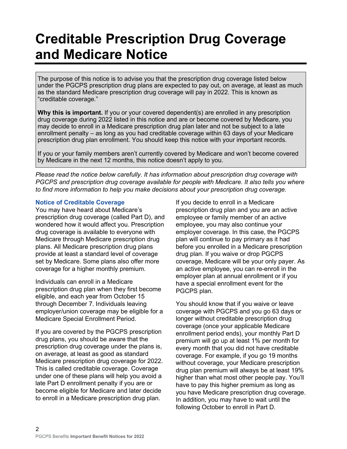### **Creditable Prescription Drug Coverage and Medicare Notice**

The purpose of this notice is to advise you that the prescription drug coverage listed below under the PGCPS prescription drug plans are expected to pay out, on average, at least as much as the standard Medicare prescription drug coverage will pay in 2022. This is known as "creditable coverage."

**Why this is important.** If you or your covered dependent(s) are enrolled in any prescription drug coverage during 2022 listed in this notice and are or become covered by Medicare, you may decide to enroll in a Medicare prescription drug plan later and not be subject to a late enrollment penalty – as long as you had creditable coverage within 63 days of your Medicare prescription drug plan enrollment. You should keep this notice with your important records.

If you or your family members aren't currently covered by Medicare and won't become covered by Medicare in the next 12 months, this notice doesn't apply to you.

*Please read the notice below carefully. It has information about prescription drug coverage with PGCPS and prescription drug coverage available for people with Medicare. It also tells you where to find more information to help you make decisions about your prescription drug coverage.* 

#### **Notice of Creditable Coverage**

You may have heard about Medicare's prescription drug coverage (called Part D), and wondered how it would affect you. Prescription drug coverage is available to everyone with Medicare through Medicare prescription drug plans. All Medicare prescription drug plans provide at least a standard level of coverage set by Medicare. Some plans also offer more coverage for a higher monthly premium.

Individuals can enroll in a Medicare prescription drug plan when they first become eligible, and each year from October 15 through December 7. Individuals leaving employer/union coverage may be eligible for a Medicare Special Enrollment Period.

If you are covered by the PGCPS prescription drug plans, you should be aware that the prescription drug coverage under the plans is, on average, at least as good as standard Medicare prescription drug coverage for 2022. This is called creditable coverage. Coverage under one of these plans will help you avoid a late Part D enrollment penalty if you are or become eligible for Medicare and later decide to enroll in a Medicare prescription drug plan.

If you decide to enroll in a Medicare prescription drug plan and you are an active employee or family member of an active employee, you may also continue your employer coverage. In this case, the PGCPS plan will continue to pay primary as it had before you enrolled in a Medicare prescription drug plan. If you waive or drop PGCPS coverage, Medicare will be your only payer. As an active employee, you can re-enroll in the employer plan at annual enrollment or if you have a special enrollment event for the PGCPS plan.

You should know that if you waive or leave coverage with PGCPS and you go 63 days or longer without creditable prescription drug coverage (once your applicable Medicare enrollment period ends), your monthly Part D premium will go up at least 1% per month for every month that you did not have creditable coverage. For example, if you go 19 months without coverage, your Medicare prescription drug plan premium will always be at least 19% higher than what most other people pay. You'll have to pay this higher premium as long as you have Medicare prescription drug coverage. In addition, you may have to wait until the following October to enroll in Part D.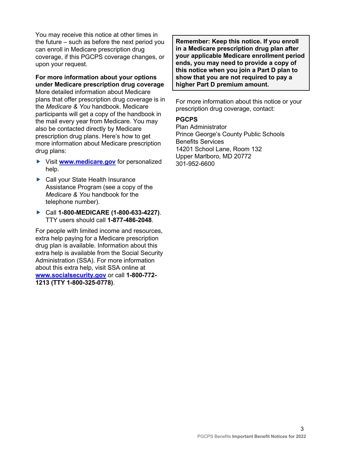You may receive this notice at other times in the future – such as before the next period you can enroll in Medicare prescription drug coverage, if this PGCPS coverage changes, or upon your request.

#### **For more information about your options under Medicare prescription drug coverage**

More detailed information about Medicare plans that offer prescription drug coverage is in the *Medicare & You* handbook. Medicare participants will get a copy of the handbook in the mail every year from Medicare. You may also be contacted directly by Medicare prescription drug plans. Here's how to get more information about Medicare prescription drug plans:

- Visit **[www.medicare.gov](http://www.medicare.gov/)** for personalized help.
- ▶ Call your State Health Insurance Assistance Program (see a copy of the *Medicare & You* handbook for the telephone number).
- Call **1-800-MEDICARE (1-800-633-4227)**. TTY users should call **1-877-486-2048**.

For people with limited income and resources, extra help paying for a Medicare prescription drug plan is available. Information about this extra help is available from the Social Security Administration (SSA). For more information about this extra help, visit SSA online at **[www.socialsecurity.gov](http://www.socialsecurity.gov/)** or call **1-800-772- 1213 (TTY 1-800-325-0778)**.

**Remember: Keep this notice. If you enroll in a Medicare prescription drug plan after your applicable Medicare enrollment period ends, you may need to provide a copy of this notice when you join a Part D plan to show that you are not required to pay a higher Part D premium amount.** 

For more information about this notice or your prescription drug coverage, contact:

#### **PGCPS**

Plan Administrator Prince George's County Public Schools Benefits Services 14201 School Lane, Room 132 Upper Marlboro, MD 20772 301-952-6600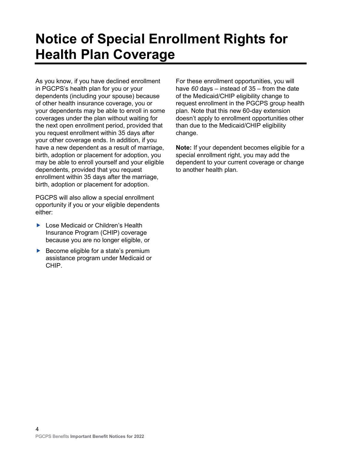### **Notice of Special Enrollment Rights for Health Plan Coverage**

As you know, if you have declined enrollment in PGCPS's health plan for you or your dependents (including your spouse) because of other health insurance coverage, you or your dependents may be able to enroll in some coverages under the plan without waiting for the next open enrollment period, provided that you request enrollment within 35 days after your other coverage ends. In addition, if you have a new dependent as a result of marriage, birth, adoption or placement for adoption, you may be able to enroll yourself and your eligible dependents, provided that you request enrollment within 35 days after the marriage, birth, adoption or placement for adoption.

PGCPS will also allow a special enrollment opportunity if you or your eligible dependents either:

- ▶ Lose Medicaid or Children's Health Insurance Program (CHIP) coverage because you are no longer eligible, or
- $\blacktriangleright$  Become eligible for a state's premium assistance program under Medicaid or CHIP.

For these enrollment opportunities, you will have *60* days – instead of 35 – from the date of the Medicaid/CHIP eligibility change to request enrollment in the PGCPS group health plan. Note that this new 60-day extension doesn't apply to enrollment opportunities other than due to the Medicaid/CHIP eligibility change.

**Note:** If your dependent becomes eligible for a special enrollment right, you may add the dependent to your current coverage or change to another health plan.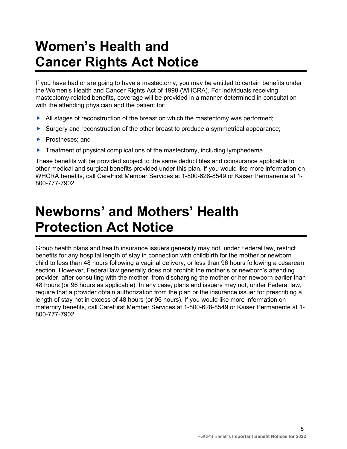### **Women's Health and Cancer Rights Act Notice**

If you have had or are going to have a mastectomy, you may be entitled to certain benefits under the Women's Health and Cancer Rights Act of 1998 (WHCRA). For individuals receiving mastectomy-related benefits, coverage will be provided in a manner determined in consultation with the attending physician and the patient for:

- $\blacktriangleright$  All stages of reconstruction of the breast on which the mastectomy was performed;
- $\blacktriangleright$  Surgery and reconstruction of the other breast to produce a symmetrical appearance;
- $\blacktriangleright$  Prostheses; and
- $\blacktriangleright$  Treatment of physical complications of the mastectomy, including lymphedema.

These benefits will be provided subject to the same deductibles and coinsurance applicable to other medical and surgical benefits provided under this plan. If you would like more information on WHCRA benefits, call CareFirst Member Services at 1-800-628-8549 or Kaiser Permanente at 1- 800-777-7902.

### **Newborns' and Mothers' Health Protection Act Notice**

Group health plans and health insurance issuers generally may not, under Federal law, restrict benefits for any hospital length of stay in connection with childbirth for the mother or newborn child to less than 48 hours following a vaginal delivery, or less than 96 hours following a cesarean section. However, Federal law generally does not prohibit the mother's or newborn's attending provider, after consulting with the mother, from discharging the mother or her newborn earlier than 48 hours (or 96 hours as applicable). In any case, plans and issuers may not, under Federal law, require that a provider obtain authorization from the plan or the insurance issuer for prescribing a length of stay not in excess of 48 hours (or 96 hours). If you would like more information on maternity benefits, call CareFirst Member Services at 1-800-628-8549 or Kaiser Permanente at 1- 800-777-7902.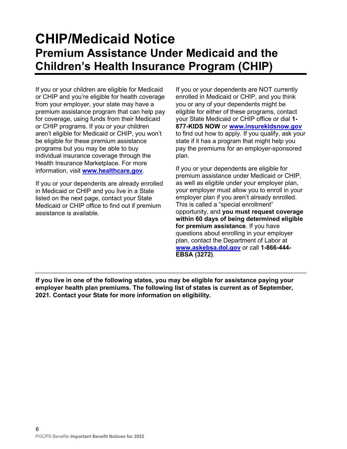### **CHIP/Medicaid Notice Premium Assistance Under Medicaid and the Children's Health Insurance Program (CHIP)**

If you or your children are eligible for Medicaid or CHIP and you're eligible for health coverage from your employer, your state may have a premium assistance program that can help pay for coverage, using funds from their Medicaid or CHIP programs. If you or your children aren't eligible for Medicaid or CHIP, you won't be eligible for these premium assistance programs but you may be able to buy individual insurance coverage through the Health Insurance Marketplace. For more information, visit **[www.healthcare.gov](http://www.healthcare.gov/)**.

If you or your dependents are already enrolled in Medicaid or CHIP and you live in a State listed on the next page, contact your State Medicaid or CHIP office to find out if premium assistance is available.

If you or your dependents are NOT currently enrolled in Medicaid or CHIP, and you think you or any of your dependents might be eligible for either of these programs, contact your State Medicaid or CHIP office or dial **1- 877-KIDS NOW** or **[www.insurekidsnow.gov](http://www.insurekidsnow.gov/)** to find out how to apply. If you qualify, ask your state if it has a program that might help you pay the premiums for an employer-sponsored plan.

If you or your dependents are eligible for premium assistance under Medicaid or CHIP, as well as eligible under your employer plan, your employer must allow you to enroll in your employer plan if you aren't already enrolled. This is called a "special enrollment" opportunity, and **you must request coverage within 60 days of being determined eligible for premium assistance**. If you have questions about enrolling in your employer plan, contact the Department of Labor at **[www.askebsa.dol.gov](http://www.askebsa.dol.gov/)** or call **1-866-444- EBSA (3272)**.

**If you live in one of the following states, you may be eligible for assistance paying your employer health plan premiums. The following list of states is current as of September, 2021. Contact your State for more information on eligibility.**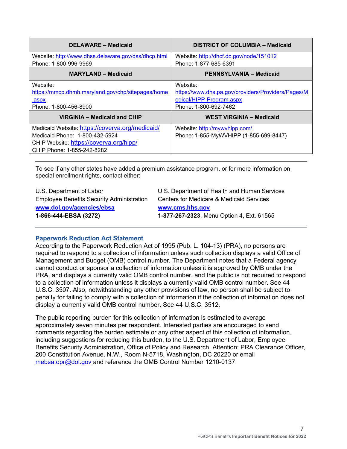| DELAWARE - Medicaid                                 | <b>DISTRICT OF COLUMBIA - Medicaid</b>             |
|-----------------------------------------------------|----------------------------------------------------|
| Website: http://www.dhss.delaware.gov/dss/dhcp.html | Website: http://dhcf.dc.gov/node/151012            |
| Phone: 1-800-996-9969                               | Phone: 1-877-685-6391                              |
| <b>MARYLAND - Medicaid</b>                          | <b>PENNSYLVANIA - Medicaid</b>                     |
| Website:                                            | Website:                                           |
| https://mmcp.dhmh.maryland.gov/chp/sitepages/home   | https://www.dhs.pa.gov/providers/Providers/Pages/M |
| .aspx                                               | edical/HIPP-Program.aspx                           |
| Phone: 1-800-456-8900                               | Phone: 1-800-692-7462                              |
| VIRGINIA - Medicaid and CHIP                        | <b>WEST VIRGINIA - Medicaid</b>                    |
| Medicaid Website: https://coverva.org/medicaid/     | Website: http://mywvhipp.com/                      |
| Medicaid Phone: 1-800-432-5924                      | Phone: 1-855-MyWVHIPP (1-855-699-8447)             |
| CHIP Website: https://coverva.org/hipp/             |                                                    |
| CHIP Phone: 1-855-242-8282                          |                                                    |

To see if any other states have added a premium assistance program, or for more information on special enrollment rights, contact either:

| U.S. Department of Health and Human Services        |
|-----------------------------------------------------|
| <b>Centers for Medicare &amp; Medicaid Services</b> |
| www.cms.hhs.gov                                     |
| 1-877-267-2323, Menu Option 4, Ext. 61565           |
|                                                     |

#### **Paperwork Reduction Act Statement**

According to the Paperwork Reduction Act of 1995 (Pub. L. 104-13) (PRA), no persons are required to respond to a collection of information unless such collection displays a valid Office of Management and Budget (OMB) control number. The Department notes that a Federal agency cannot conduct or sponsor a collection of information unless it is approved by OMB under the PRA, and displays a currently valid OMB control number, and the public is not required to respond to a collection of information unless it displays a currently valid OMB control number. See 44 U.S.C. 3507. Also, notwithstanding any other provisions of law, no person shall be subject to penalty for failing to comply with a collection of information if the collection of information does not display a currently valid OMB control number. See 44 U.S.C. 3512.

The public reporting burden for this collection of information is estimated to average approximately seven minutes per respondent. Interested parties are encouraged to send comments regarding the burden estimate or any other aspect of this collection of information, including suggestions for reducing this burden, to the U.S. Department of Labor, Employee Benefits Security Administration, Office of Policy and Research, Attention: PRA Clearance Officer, 200 Constitution Avenue, N.W., Room N-5718, Washington, DC 20220 or email [mebsa.opr@dol.gov](mailto:mebsa.opr@dol.gov) and reference the OMB Control Number 1210-0137.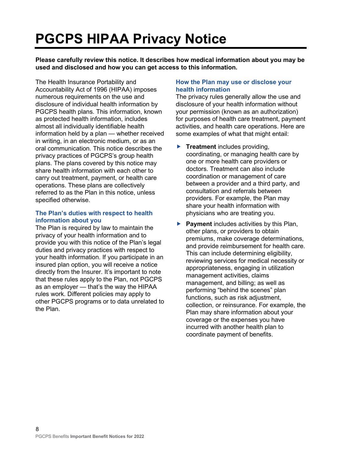## **PGCPS HIPAA Privacy Notice**

**Please carefully review this notice. It describes how medical information about you may be used and disclosed and how you can get access to this information.**

The Health Insurance Portability and Accountability Act of 1996 (HIPAA) imposes numerous requirements on the use and disclosure of individual health information by PGCPS health plans. This information, known as protected health information, includes almost all individually identifiable health information held by a plan — whether received in writing, in an electronic medium, or as an oral communication. This notice describes the privacy practices of PGCPS's group health plans. The plans covered by this notice may share health information with each other to carry out treatment, payment, or health care operations. These plans are collectively referred to as the Plan in this notice, unless specified otherwise.

#### **The Plan's duties with respect to health information about you**

The Plan is required by law to maintain the privacy of your health information and to provide you with this notice of the Plan's legal duties and privacy practices with respect to your health information. If you participate in an insured plan option, you will receive a notice directly from the Insurer. It's important to note that these rules apply to the Plan, not PGCPS as an employer — that's the way the HIPAA rules work. Different policies may apply to other PGCPS programs or to data unrelated to the Plan.

#### **How the Plan may use or disclose your health information**

The privacy rules generally allow the use and disclosure of your health information without your permission (known as an authorization) for purposes of health care treatment, payment activities, and health care operations. Here are some examples of what that might entail:

- **Treatment** includes providing, coordinating, or managing health care by one or more health care providers or doctors. Treatment can also include coordination or management of care between a provider and a third party, and consultation and referrals between providers. For example, the Plan may share your health information with physicians who are treating you.
- **Payment** includes activities by this Plan, other plans, or providers to obtain premiums, make coverage determinations, and provide reimbursement for health care. This can include determining eligibility, reviewing services for medical necessity or appropriateness, engaging in utilization management activities, claims management, and billing; as well as performing "behind the scenes" plan functions, such as risk adiustment. collection, or reinsurance. For example, the Plan may share information about your coverage or the expenses you have incurred with another health plan to coordinate payment of benefits.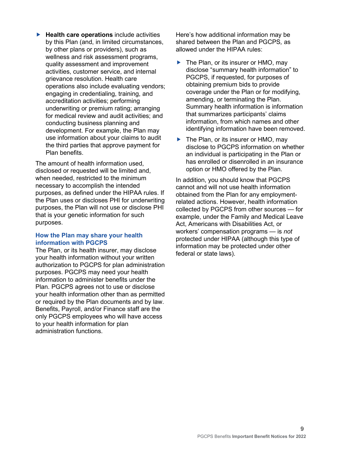**Health care operations** include activities by this Plan (and, in limited circumstances, by other plans or providers), such as wellness and risk assessment programs, quality assessment and improvement activities, customer service, and internal grievance resolution. Health care operations also include evaluating vendors; engaging in credentialing, training, and accreditation activities; performing underwriting or premium rating; arranging for medical review and audit activities; and conducting business planning and development. For example, the Plan may use information about your claims to audit the third parties that approve payment for Plan benefits.

The amount of health information used, disclosed or requested will be limited and, when needed, restricted to the minimum necessary to accomplish the intended purposes, as defined under the HIPAA rules. If the Plan uses or discloses PHI for underwriting purposes, the Plan will not use or disclose PHI that is your genetic information for such purposes.

#### **How the Plan may share your health information with PGCPS**

The Plan, or its health insurer, may disclose your health information without your written authorization to PGCPS for plan administration purposes. PGCPS may need your health information to administer benefits under the Plan. PGCPS agrees not to use or disclose your health information other than as permitted or required by the Plan documents and by law. Benefits, Payroll, and/or Finance staff are the only PGCPS employees who will have access to your health information for plan administration functions.

Here's how additional information may be shared between the Plan and PGCPS*,* as allowed under the HIPAA rules:

- ▶ The Plan, or its insurer or HMO, may disclose "summary health information" to PGCPS, if requested, for purposes of obtaining premium bids to provide coverage under the Plan or for modifying, amending, or terminating the Plan. Summary health information is information that summarizes participants' claims information, from which names and other identifying information have been removed.
- ▶ The Plan, or its insurer or HMO, may disclose to PGCPS information on whether an individual is participating in the Plan or has enrolled or disenrolled in an insurance option or HMO offered by the Plan.

In addition, you should know that PGCPS cannot and will not use health information obtained from the Plan for any employmentrelated actions. However, health information collected by PGCPS from other sources — for example, under the Family and Medical Leave Act, Americans with Disabilities Act, or workers' compensation programs — is *not* protected under HIPAA (although this type of information may be protected under other federal or state laws).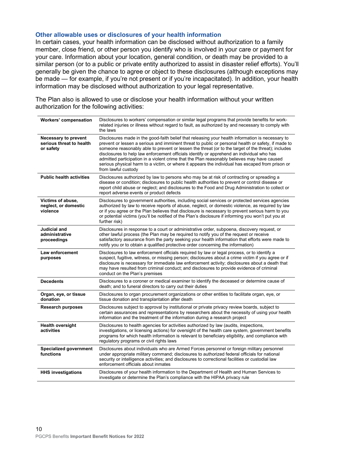#### **Other allowable uses or disclosures of your health information**

In certain cases, your health information can be disclosed without authorization to a family member, close friend, or other person you identify who is involved in your care or payment for your care. Information about your location, general condition, or death may be provided to a similar person (or to a public or private entity authorized to assist in disaster relief efforts). You'll generally be given the chance to agree or object to these disclosures (although exceptions may be made — for example, if you're not present or if you're incapacitated). In addition, your health information may be disclosed without authorization to your legal representative.

| Workers' compensation                                                | Disclosures to workers' compensation or similar legal programs that provide benefits for work-<br>related injuries or illness without regard to fault, as authorized by and necessary to comply with<br>the laws                                                                                                                                                                                                                                                                                                                                                                                                                    |
|----------------------------------------------------------------------|-------------------------------------------------------------------------------------------------------------------------------------------------------------------------------------------------------------------------------------------------------------------------------------------------------------------------------------------------------------------------------------------------------------------------------------------------------------------------------------------------------------------------------------------------------------------------------------------------------------------------------------|
| <b>Necessary to prevent</b><br>serious threat to health<br>or safety | Disclosures made in the good-faith belief that releasing your health information is necessary to<br>prevent or lessen a serious and imminent threat to public or personal health or safety, if made to<br>someone reasonably able to prevent or lessen the threat (or to the target of the threat); includes<br>disclosures to help law enforcement officials identify or apprehend an individual who has<br>admitted participation in a violent crime that the Plan reasonably believes may have caused<br>serious physical harm to a victim, or where it appears the individual has escaped from prison or<br>from lawful custody |
| <b>Public health activities</b>                                      | Disclosures authorized by law to persons who may be at risk of contracting or spreading a<br>disease or condition; disclosures to public health authorities to prevent or control disease or<br>report child abuse or neglect; and disclosures to the Food and Drug Administration to collect or<br>report adverse events or product defects                                                                                                                                                                                                                                                                                        |
| Victims of abuse,<br>neglect, or domestic<br>violence                | Disclosures to government authorities, including social services or protected services agencies<br>authorized by law to receive reports of abuse, neglect, or domestic violence, as required by law<br>or if you agree or the Plan believes that disclosure is necessary to prevent serious harm to you<br>or potential victims (you'll be notified of the Plan's disclosure if informing you won't put you at<br>further risk)                                                                                                                                                                                                     |
| Judicial and<br>administrative<br>proceedings                        | Disclosures in response to a court or administrative order, subpoena, discovery request, or<br>other lawful process (the Plan may be required to notify you of the request or receive<br>satisfactory assurance from the party seeking your health information that efforts were made to<br>notify you or to obtain a qualified protective order concerning the information)                                                                                                                                                                                                                                                        |
| Law enforcement                                                      | Disclosures to law enforcement officials required by law or legal process, or to identify a                                                                                                                                                                                                                                                                                                                                                                                                                                                                                                                                         |
| purposes                                                             | suspect, fugitive, witness, or missing person; disclosures about a crime victim if you agree or if<br>disclosure is necessary for immediate law enforcement activity; disclosures about a death that<br>may have resulted from criminal conduct; and disclosures to provide evidence of criminal<br>conduct on the Plan's premises                                                                                                                                                                                                                                                                                                  |
| <b>Decedents</b>                                                     | Disclosures to a coroner or medical examiner to identify the deceased or determine cause of<br>death; and to funeral directors to carry out their duties                                                                                                                                                                                                                                                                                                                                                                                                                                                                            |
| Organ, eye, or tissue<br>donation                                    | Disclosures to organ procurement organizations or other entities to facilitate organ, eye, or<br>tissue donation and transplantation after death                                                                                                                                                                                                                                                                                                                                                                                                                                                                                    |
| <b>Research purposes</b>                                             | Disclosures subject to approval by institutional or private privacy review boards, subject to<br>certain assurances and representations by researchers about the necessity of using your health<br>information and the treatment of the information during a research project                                                                                                                                                                                                                                                                                                                                                       |
| <b>Health oversight</b><br>activities                                | Disclosures to health agencies for activities authorized by law (audits, inspections,<br>investigations, or licensing actions) for oversight of the health care system, government benefits<br>programs for which health information is relevant to beneficiary eligibility, and compliance with<br>regulatory programs or civil rights laws                                                                                                                                                                                                                                                                                        |
| <b>Specialized government</b><br>functions                           | Disclosures about individuals who are Armed Forces personnel or foreign military personnel<br>under appropriate military command; disclosures to authorized federal officials for national<br>security or intelligence activities; and disclosures to correctional facilities or custodial law<br>enforcement officials about inmates                                                                                                                                                                                                                                                                                               |

The Plan also is allowed to use or disclose your health information without your written authorization for the following activities: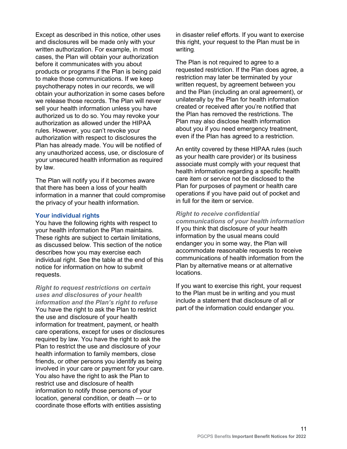Except as described in this notice, other uses and disclosures will be made only with your written authorization. For example, in most cases, the Plan will obtain your authorization before it communicates with you about products or programs if the Plan is being paid to make those communications. If we keep psychotherapy notes in our records, we will obtain your authorization in some cases before we release those records. The Plan will never sell your health information unless you have authorized us to do so. You may revoke your authorization as allowed under the HIPAA rules. However, you can't revoke your authorization with respect to disclosures the Plan has already made. You will be notified of any unauthorized access, use, or disclosure of your unsecured health information as required by law.

The Plan will notify you if it becomes aware that there has been a loss of your health information in a manner that could compromise the privacy of your health information.

#### **Your individual rights**

You have the following rights with respect to your health information the Plan maintains. These rights are subject to certain limitations. as discussed below. This section of the notice describes how you may exercise each individual right. See the table at the end of this notice for information on how to submit requests.

*Right to request restrictions on certain uses and disclosures of your health information and the Plan's right to refuse* You have the right to ask the Plan to restrict the use and disclosure of your health information for treatment, payment, or health care operations, except for uses or disclosures required by law. You have the right to ask the Plan to restrict the use and disclosure of your health information to family members, close friends, or other persons you identify as being involved in your care or payment for your care. You also have the right to ask the Plan to restrict use and disclosure of health information to notify those persons of your location, general condition, or death — or to coordinate those efforts with entities assisting

in disaster relief efforts. If you want to exercise this right, your request to the Plan must be in writing.

The Plan is not required to agree to a requested restriction. If the Plan does agree, a restriction may later be terminated by your written request, by agreement between you and the Plan (including an oral agreement), or unilaterally by the Plan for health information created or received after you're notified that the Plan has removed the restrictions. The Plan may also disclose health information about you if you need emergency treatment, even if the Plan has agreed to a restriction.

An entity covered by these HIPAA rules (such as your health care provider) or its business associate must comply with your request that health information regarding a specific health care item or service not be disclosed to the Plan for purposes of payment or health care operations if you have paid out of pocket and in full for the item or service.

#### *Right to receive confidential*

*communications of your health information* If you think that disclosure of your health information by the usual means could endanger you in some way, the Plan will accommodate reasonable requests to receive communications of health information from the Plan by alternative means or at alternative locations.

If you want to exercise this right, your request to the Plan must be in writing and you must include a statement that disclosure of all or part of the information could endanger you.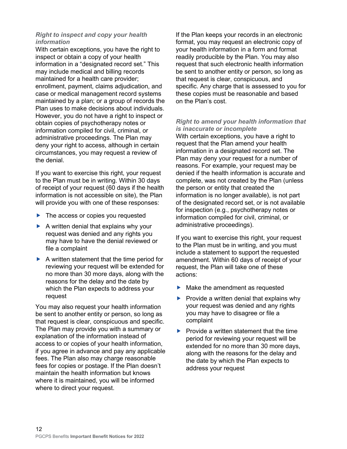#### *Right to inspect and copy your health information*

With certain exceptions, you have the right to inspect or obtain a copy of your health information in a "designated record set." This may include medical and billing records maintained for a health care provider; enrollment, payment, claims adjudication, and case or medical management record systems maintained by a plan; or a group of records the Plan uses to make decisions about individuals. However, you do not have a right to inspect or obtain copies of psychotherapy notes or information compiled for civil, criminal, or administrative proceedings. The Plan may deny your right to access, although in certain circumstances, you may request a review of the denial.

If you want to exercise this right, your request to the Plan must be in writing. Within 30 days of receipt of your request (60 days if the health information is not accessible on site), the Plan will provide you with one of these responses:

- ▶ The access or copies you requested
- $\blacktriangleright$  A written denial that explains why your request was denied and any rights you may have to have the denial reviewed or file a complaint
- $\blacktriangleright$  A written statement that the time period for reviewing your request will be extended for no more than 30 more days, along with the reasons for the delay and the date by which the Plan expects to address your request

You may also request your health information be sent to another entity or person, so long as that request is clear, conspicuous and specific. The Plan may provide you with a summary or explanation of the information instead of access to or copies of your health information, if you agree in advance and pay any applicable fees. The Plan also may charge reasonable fees for copies or postage. If the Plan doesn't maintain the health information but knows where it is maintained, you will be informed where to direct your request.

If the Plan keeps your records in an electronic format, you may request an electronic copy of your health information in a form and format readily producible by the Plan. You may also request that such electronic health information be sent to another entity or person, so long as that request is clear, conspicuous, and specific. Any charge that is assessed to you for these copies must be reasonable and based on the Plan's cost.

#### *Right to amend your health information that is inaccurate or incomplete*

With certain exceptions, you have a right to request that the Plan amend your health information in a designated record set. The Plan may deny your request for a number of reasons. For example, your request may be denied if the health information is accurate and complete, was not created by the Plan (unless the person or entity that created the information is no longer available), is not part of the designated record set, or is not available for inspection (e.g., psychotherapy notes or information compiled for civil, criminal, or administrative proceedings).

If you want to exercise this right, your request to the Plan must be in writing, and you must include a statement to support the requested amendment. Within 60 days of receipt of your request, the Plan will take one of these actions:

- Make the amendment as requested
- $\blacktriangleright$  Provide a written denial that explains why your request was denied and any rights you may have to disagree or file a complaint
- $\blacktriangleright$  Provide a written statement that the time period for reviewing your request will be extended for no more than 30 more days, along with the reasons for the delay and the date by which the Plan expects to address your request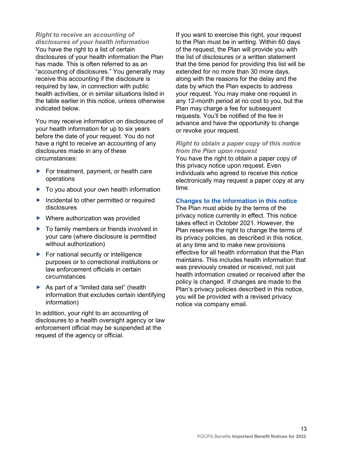*Right to receive an accounting of disclosures of your health information*

You have the right to a list of certain disclosures of your health information the Plan has made. This is often referred to as an "accounting of disclosures." You generally may receive this accounting if the disclosure is required by law, in connection with public health activities, or in similar situations listed in the table earlier in this notice, unless otherwise indicated below.

You may receive information on disclosures of your health information for up to six years before the date of your request. You do not have a right to receive an accounting of any disclosures made in any of these circumstances:

- $\blacktriangleright$  For treatment, payment, or health care operations
- $\blacktriangleright$  To you about your own health information
- $\blacktriangleright$  Incidental to other permitted or required disclosures
- ▶ Where authorization was provided
- ▶ To family members or friends involved in your care (where disclosure is permitted without authorization)
- $\blacktriangleright$  For national security or intelligence purposes or to correctional institutions or law enforcement officials in certain circumstances
- As part of a "limited data set" (health information that excludes certain identifying information)

In addition, your right to an accounting of disclosures to a health oversight agency or law enforcement official may be suspended at the request of the agency or official.

If you want to exercise this right, your request to the Plan must be in writing. Within 60 days of the request, the Plan will provide you with the list of disclosures or a written statement that the time period for providing this list will be extended for no more than 30 more days, along with the reasons for the delay and the date by which the Plan expects to address your request. You may make one request in any 12-month period at no cost to you, but the Plan may charge a fee for subsequent requests. You'll be notified of the fee in advance and have the opportunity to change or revoke your request.

#### *Right to obtain a paper copy of this notice from the Plan upon request*

You have the right to obtain a paper copy of this privacy notice upon request. Even individuals who agreed to receive this notice electronically may request a paper copy at any time.

#### **Changes to the information in this notice**

The Plan must abide by the terms of the privacy notice currently in effect. This notice takes effect in October 2021. However, the Plan reserves the right to change the terms of its privacy policies, as described in this notice, at any time and to make new provisions effective for all health information that the Plan maintains. This includes health information that was previously created or received, not just health information created or received after the policy is changed. If changes are made to the Plan's privacy policies described in this notice, you will be provided with a revised privacy notice via company email.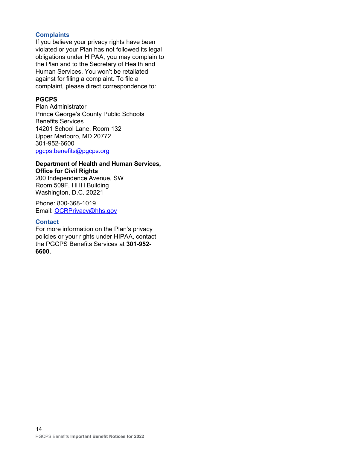#### **Complaints**

If you believe your privacy rights have been violated or your Plan has not followed its legal obligations under HIPAA, you may complain to the Plan and to the Secretary of Health and Human Services. You won't be retaliated against for filing a complaint. To file a complaint*,* please direct correspondence to:

#### **PGCPS**

Plan Administrator Prince George's County Public Schools Benefits Services 14201 School Lane, Room 132 Upper Marlboro, MD 20772 301-952-6600 [pgcps.benefits@pgcps.org](mailto:pgcps.benefits@pgcps.org)

#### **Department of Health and Human Services, Office for Civil Rights**

200 Independence Avenue, SW Room 509F, HHH Building Washington, D.C. 20221

Phone: 800-368-1019 Email: [OCRPrivacy@hhs.gov](mailto:OCRPrivacy@hhs.gov)

#### **Contact**

For more information on the Plan's privacy policies or your rights under HIPAA, contact the PGCPS Benefits Services at **301-952- 6600.**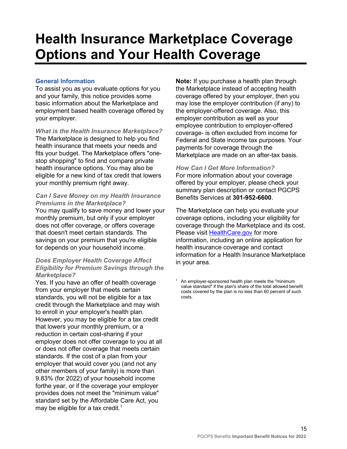### **Health Insurance Marketplace Coverage Options and Your Health Coverage**

#### **General Information**

To assist you as you evaluate options for you and your family, this notice provides some basic information about the Marketplace and employment based health coverage offered by your employer.

*What is the Health Insurance Marketplace?* 

The Marketplace is designed to help you find health insurance that meets your needs and fits your budget. The Marketplace offers "onestop shopping" to find and compare private health insurance options. You may also be eligible for a new kind of tax credit that lowers your monthly premium right away.

#### *Can I Save Money on my Health Insurance Premiums in the Marketplace?*

You may qualify to save money and lower your monthly premium, but only if your employer does not offer coverage, or offers coverage that doesn't meet certain standards. The savings on your premium that you're eligible for depends on your household income.

#### *Does Employer Health Coverage Affect Eligibility for Premium Savings through the Marketplace?*

Yes. If you have an offer of health coverage from your employer that meets certain standards, you will not be eligible for a tax credit through the Marketplace and may wish to enroll in your employer's health plan. However, you may be eligible for a tax credit that lowers your monthly premium, or a reduction in certain cost-sharing if your employer does not offer coverage to you at all or does not offer coverage that meets certain standards. If the cost of a plan from your employer that would cover you (and not any other members of your family) is more than 9.83% (for 2022) of your household income forthe year, or if the coverage your employer provides does not meet the "minimum value" standard set by the Affordable Care Act, you may be eligible for a tax credit.<sup>1</sup>

**Note:** If you purchase a health plan through the Marketplace instead of accepting health coverage offered by your employer, then you may lose the employer contribution (if any) to the employer-offered coverage. Also, this employer contribution as well as your employee contribution to employer-offered coverage- is often excluded from income for Federal and State income tax purposes. Your payments for coverage through the Marketplace are made on an after-tax basis.

#### *How Can I Get More Information?*

For more information about your coverage offered by your employer, please check your summary plan description or contact PGCPS Benefits Services at **301-952-6600**.

The Marketplace can help you evaluate your coverage options, including your eligibility for coverage through the Marketplace and its cost. Please visit [HealthCare.gov](http://www.healthcare.gov/) for more information, including an online application for health insurance coverage and contact information for a Health Insurance Marketplace in your area.

 $1$  An employer-sponsored health plan meets the "minimum value standard" if the plan's share of the total allowed benefit costs covered by the plan is no less than 60 percent of such costs.